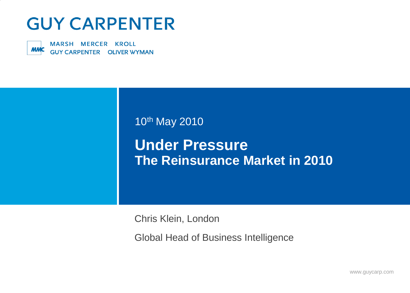# **GUY CARPENTER**

MARSH MERCER KROLL **MMC GUY CARPENTER OLIVER WYMAN** 

#### 10th May 2010

## **Under Pressure The Reinsurance Market in 2010**

Chris Klein, London

Global Head of Business Intelligence

www.guycarp.com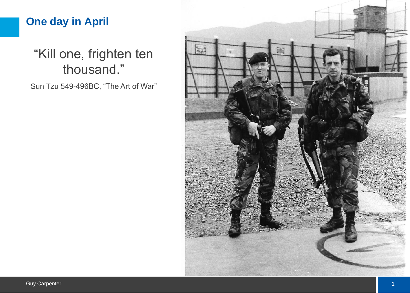### **One day in April**

## "Kill one, frighten ten thousand."

Sun Tzu 549-496BC, "The Art of War"

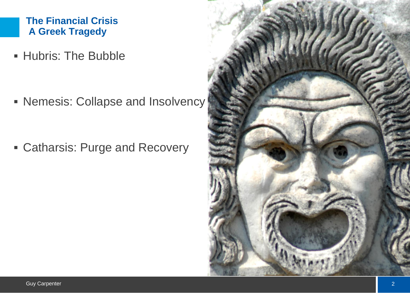#### **The Financial Crisis A Greek Tragedy**

**Hubris: The Bubble** 

**Nemesis: Collapse and Insolvency** 

Catharsis: Purge and Recovery

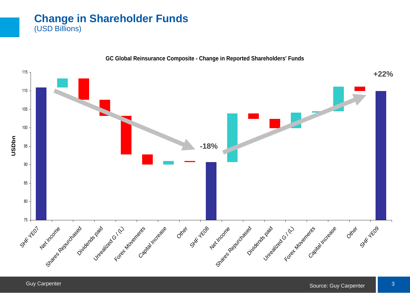#### **Change in Shareholder Funds** (USD Billions)



**GC Global Reinsurance Composite - Change in Reported Shareholders' Funds**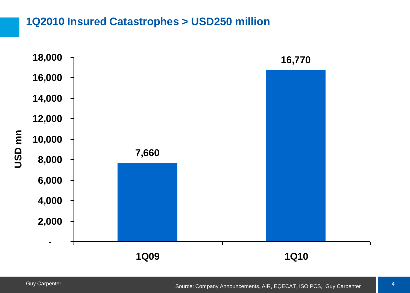#### **1Q2010 Insured Catastrophes > USD250 million**

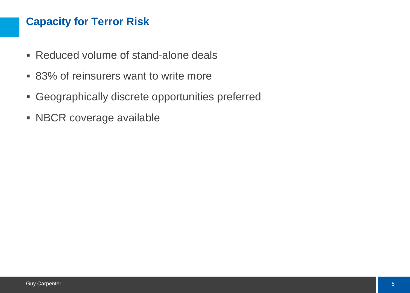#### **Capacity for Terror Risk**

- Reduced volume of stand-alone deals
- 83% of reinsurers want to write more
- Geographically discrete opportunities preferred
- **NBCR coverage available**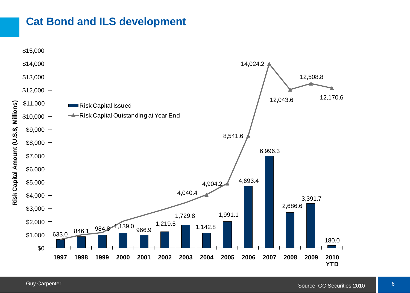#### **Cat Bond and ILS development**

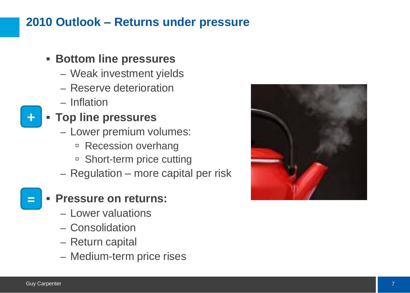## **2010 Outlook – Returns under pressure**

#### **Bottom line pressures**

- Weak investment yields
- Reserve deterioration
- Inflation

### **Top line pressures**

- Lower premium volumes:
	- **Recession overhang**
	- □ Short-term price cutting
- Regulation more capital per risk

#### **Pressure on returns:**

- Lower valuations
- Consolidation
- Return capital
- Medium-term price rises



**+**

**=**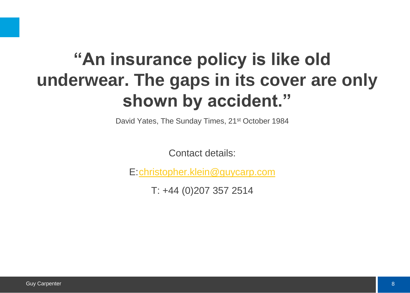# **"An insurance policy is like old underwear. The gaps in its cover are only shown by accident."**

David Yates, The Sunday Times, 21<sup>st</sup> October 1984

Contact details:

E:[christopher.klein@guycarp.com](mailto:christopher.klein@guycarp.com)

T: +44 (0)207 357 2514